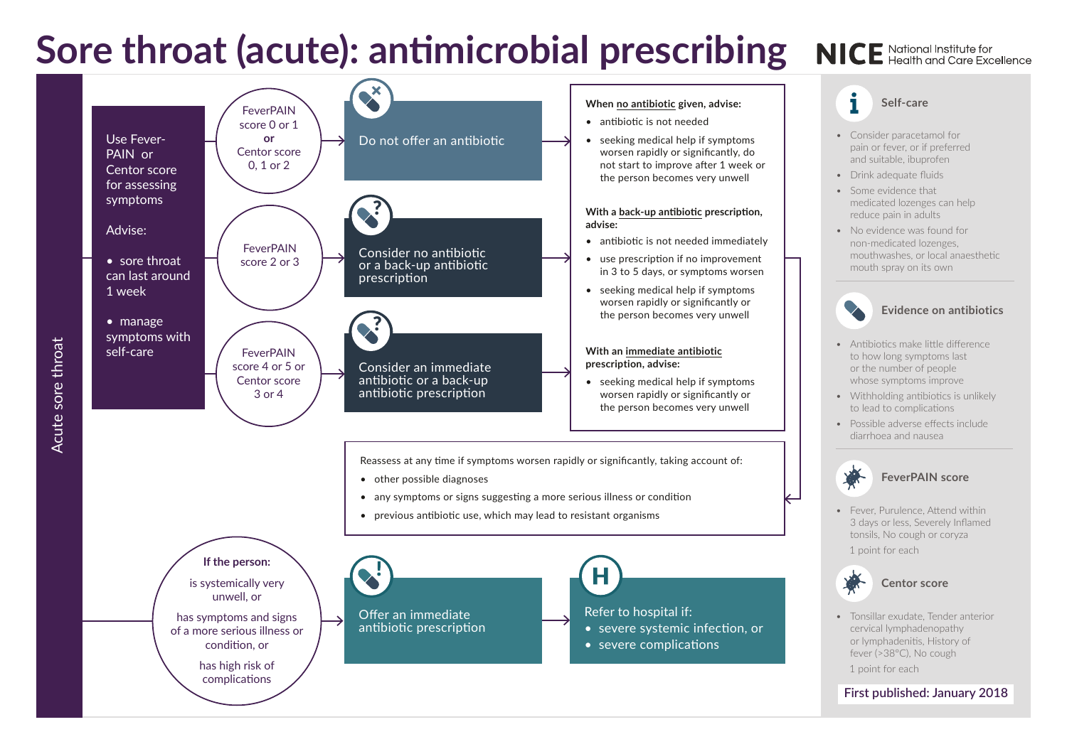## Sore throat (acute): antimicrobial prescribing NICE National Institute for